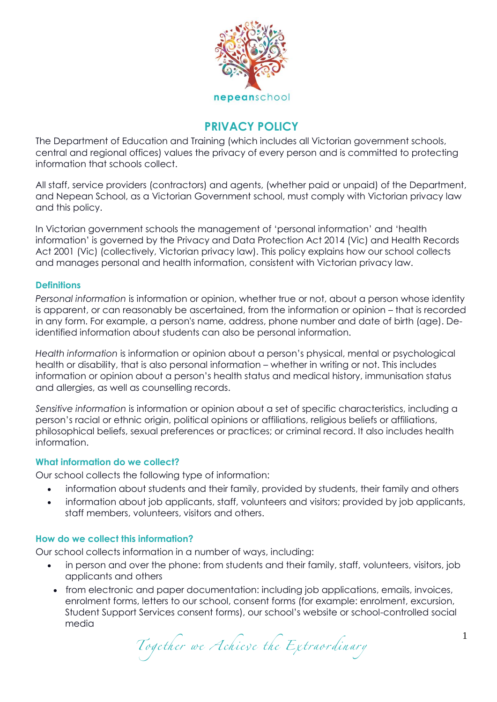

# **PRIVACY POLICY**

The Department of Education and Training (which includes all Victorian government schools, central and regional offices) values the privacy of every person and is committed to protecting information that schools collect.

All staff, service providers (contractors) and agents, (whether paid or unpaid) of the Department, and Nepean School, as a Victorian Government school, must comply with Victorian privacy law and this policy.

In Victorian government schools the management of 'personal information' and 'health information' is governed by the Privacy and Data Protection Act 2014 (Vic) and Health Records Act 2001 (Vic) (collectively, Victorian privacy law). This policy explains how our school collects and manages personal and health information, consistent with Victorian privacy law.

# **Definitions**

*Personal information* is information or opinion, whether true or not, about a person whose identity is apparent, or can reasonably be ascertained, from the information or opinion – that is recorded in any form. For example, a person's name, address, phone number and date of birth (age). Deidentified information about students can also be personal information.

*Health information* is information or opinion about a person's physical, mental or psychological health or disability, that is also personal information – whether in writing or not. This includes information or opinion about a person's health status and medical history, immunisation status and allergies, as well as counselling records.

*Sensitive information* is information or opinion about a set of specific characteristics, including a person's racial or ethnic origin, political opinions or affiliations, religious beliefs or affiliations, philosophical beliefs, sexual preferences or practices; or criminal record. It also includes health information.

# **What information do we collect?**

Our school collects the following type of information:

- information about students and their family, provided by students, their family and others
- information about job applicants, staff, volunteers and visitors; provided by job applicants, staff members, volunteers, visitors and others.

### **How do we collect this information?**

Our school collects information in a number of ways, including:

- in person and over the phone: from students and their family, staff, volunteers, visitors, job applicants and others
- from electronic and paper documentation: including job applications, emails, invoices, enrolment forms, letters to our school, consent forms (for example: enrolment, excursion, Student Support Services consent forms), our school's website or school-controlled social media

Together we Achieve the Extraordinary 1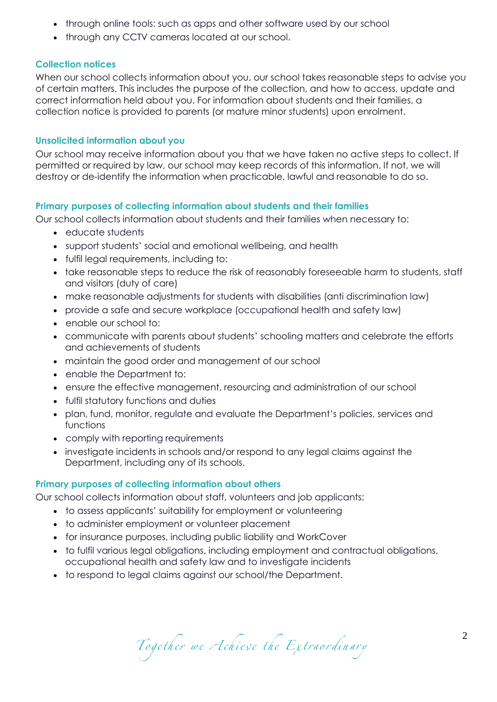- through online tools: such as apps and other software used by our school
- through any CCTV cameras located at our school.

# **Collection notices**

When our school collects information about you, our school takes reasonable steps to advise you of certain matters. This includes the purpose of the collection, and how to access, update and correct information held about you. For information about students and their families, a collection notice is provided to parents (or mature minor students) upon enrolment.

# **Unsolicited information about you**

Our school may receive information about you that we have taken no active steps to collect. If permitted or required by law, our school may keep records of this information. If not, we will destroy or de-identify the information when practicable, lawful and reasonable to do so.

# **Primary purposes of collecting information about students and their families**

Our school collects information about students and their families when necessary to:

- educate students
- support students' social and emotional wellbeing, and health
- fulfil legal requirements, including to:
- take reasonable steps to reduce the risk of reasonably foreseeable harm to students, staff and visitors (duty of care)
- make reasonable adjustments for students with disabilities (anti discrimination law)
- provide a safe and secure workplace (occupational health and safety law)
- enable our school to:
- communicate with parents about students' schooling matters and celebrate the efforts and achievements of students
- maintain the good order and management of our school
- enable the Department to:
- ensure the effective management, resourcing and administration of our school
- fulfil statutory functions and duties
- plan, fund, monitor, regulate and evaluate the Department's policies, services and functions
- comply with reporting requirements
- investigate incidents in schools and/or respond to any legal claims against the Department, including any of its schools.

### **Primary purposes of collecting information about others**

Our school collects information about staff, volunteers and job applicants:

- to assess applicants' suitability for employment or volunteering
- to administer employment or volunteer placement
- for insurance purposes, including public liability and WorkCover
- to fulfil various legal obligations, including employment and contractual obligations, occupational health and safety law and to investigate incidents
- to respond to legal claims against our school/the Department.

Together we Achieve the Extraordinary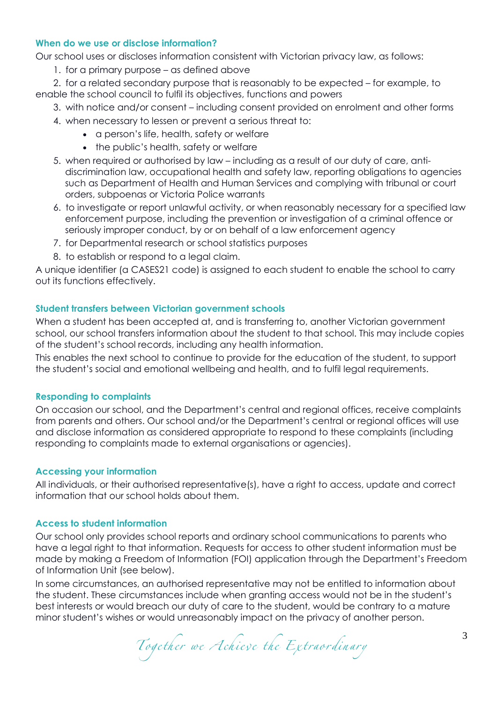# **When do we use or disclose information?**

Our school uses or discloses information consistent with Victorian privacy law, as follows:

1. for a primary purpose – as defined above

2. for a related secondary purpose that is reasonably to be expected – for example, to enable the school council to fulfil its objectives, functions and powers

- 3. with notice and/or consent including consent provided on enrolment and other forms
- 4. when necessary to lessen or prevent a serious threat to:
	- a person's life, health, safety or welfare
	- the public's health, safety or welfare
- 5. when required or authorised by law including as a result of our duty of care, antidiscrimination law, occupational health and safety law, reporting obligations to agencies such as Department of Health and Human Services and complying with tribunal or court orders, subpoenas or Victoria Police warrants
- 6. to investigate or report unlawful activity, or when reasonably necessary for a specified law enforcement purpose, including the prevention or investigation of a criminal offence or seriously improper conduct, by or on behalf of a law enforcement agency
- 7. for Departmental research or school statistics purposes
- 8. to establish or respond to a legal claim.

A unique identifier (a CASES21 code) is assigned to each student to enable the school to carry out its functions effectively.

# **Student transfers between Victorian government schools**

When a student has been accepted at, and is transferring to, another Victorian government school, our school transfers information about the student to that school. This may include copies of the student's school records, including any health information.

This enables the next school to continue to provide for the education of the student, to support the student's social and emotional wellbeing and health, and to fulfil legal requirements.

# **Responding to complaints**

On occasion our school, and the Department's central and regional offices, receive complaints from parents and others. Our school and/or the Department's central or regional offices will use and disclose information as considered appropriate to respond to these complaints (including responding to complaints made to external organisations or agencies).

# **Accessing your information**

All individuals, or their authorised representative(s), have a right to access, update and correct information that our school holds about them.

# **Access to student information**

Our school only provides school reports and ordinary school communications to parents who have a legal right to that information. Requests for access to other student information must be made by making a Freedom of Information (FOI) application through the Department's Freedom of Information Unit (see below).

In some circumstances, an authorised representative may not be entitled to information about the student. These circumstances include when granting access would not be in the student's best interests or would breach our duty of care to the student, would be contrary to a mature minor student's wishes or would unreasonably impact on the privacy of another person.

Together we Achieve the Extraordinary 3